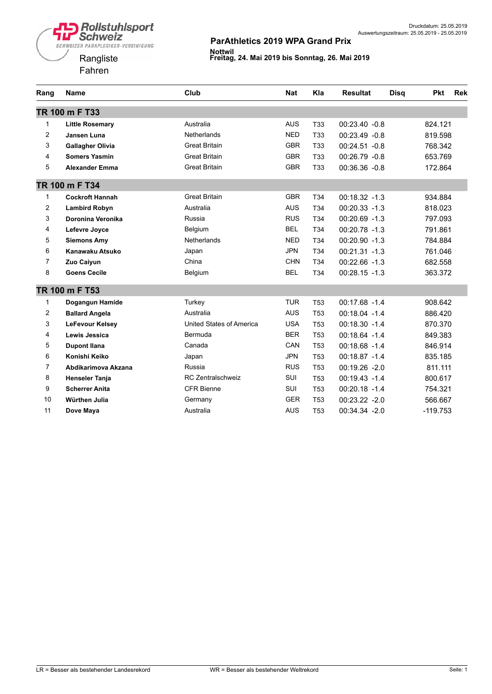

| Rang           | <b>Name</b>             | Club                     | <b>Nat</b> | Kla             | <b>Resultat</b>  | <b>Disa</b> | <b>Pkt</b> | <b>Rek</b> |
|----------------|-------------------------|--------------------------|------------|-----------------|------------------|-------------|------------|------------|
|                | TR 100 m F T33          |                          |            |                 |                  |             |            |            |
| 1              | <b>Little Rosemary</b>  | Australia                | <b>AUS</b> | T33             | $00:23.40 -0.8$  |             | 824.121    |            |
| $\overline{2}$ | Jansen Luna             | <b>Netherlands</b>       | <b>NED</b> | <b>T33</b>      | 00:23.49 -0.8    |             | 819.598    |            |
| 3              | <b>Gallagher Olivia</b> | <b>Great Britain</b>     | <b>GBR</b> | <b>T33</b>      | 00:24.51 -0.8    |             | 768.342    |            |
| 4              | <b>Somers Yasmin</b>    | <b>Great Britain</b>     | <b>GBR</b> | T <sub>33</sub> | $00:26.79 - 0.8$ |             | 653.769    |            |
| 5              | <b>Alexander Emma</b>   | <b>Great Britain</b>     | <b>GBR</b> | T33             | $00:36.36 - 0.8$ |             | 172.864    |            |
|                | TR 100 m F T34          |                          |            |                 |                  |             |            |            |
| $\mathbf{1}$   | <b>Cockroft Hannah</b>  | <b>Great Britain</b>     | <b>GBR</b> | T34             | $00:18.32 - 1.3$ |             | 934.884    |            |
| $\overline{2}$ | <b>Lambird Robyn</b>    | Australia                | <b>AUS</b> | T34             | $00:20.33 - 1.3$ |             | 818.023    |            |
| 3              | Doronina Veronika       | Russia                   | <b>RUS</b> | T34             | $00:20.69 - 1.3$ |             | 797.093    |            |
| 4              | Lefevre Joyce           | Belgium                  | <b>BEL</b> | T34             | $00:20.78 - 1.3$ |             | 791.861    |            |
| 5              | <b>Siemons Amy</b>      | <b>Netherlands</b>       | <b>NED</b> | T34             | $00:20.90 -1.3$  |             | 784.884    |            |
| 6              | Kanawaku Atsuko         | Japan                    | <b>JPN</b> | T34             | 00:21.31 -1.3    |             | 761.046    |            |
| $\overline{7}$ | Zuo Caiyun              | China                    | <b>CHN</b> | T <sub>34</sub> | $00:22.66 - 1.3$ |             | 682.558    |            |
| 8              | <b>Goens Cecile</b>     | Belgium                  | <b>BEL</b> | T34             | $00:28.15 - 1.3$ |             | 363.372    |            |
|                | TR 100 m F T53          |                          |            |                 |                  |             |            |            |
| 1              | Dogangun Hamide         | Turkey                   | <b>TUR</b> | T <sub>53</sub> | $00:17.68 - 1.4$ |             | 908.642    |            |
| $\overline{2}$ | <b>Ballard Angela</b>   | Australia                | <b>AUS</b> | <b>T53</b>      | 00:18.04 -1.4    |             | 886.420    |            |
| 3              | LeFevour Kelsey         | United States of America | <b>USA</b> | T <sub>53</sub> | 00:18.30 -1.4    |             | 870.370    |            |
| 4              | Lewis Jessica           | Bermuda                  | <b>BER</b> | T <sub>53</sub> | $00:18.64 -1.4$  |             | 849.383    |            |
| 5              | <b>Dupont Ilana</b>     | Canada                   | CAN        | T <sub>53</sub> | $00:18.68 - 1.4$ |             | 846.914    |            |
| 6              | Konishi Keiko           | Japan                    | <b>JPN</b> | T <sub>53</sub> | 00:18.87 -1.4    |             | 835.185    |            |
| $\overline{7}$ | Abdikarimova Akzana     | Russia                   | <b>RUS</b> | T <sub>53</sub> | $00:19.26 - 2.0$ |             | 811.111    |            |
| 8              | <b>Henseler Tanja</b>   | RC Zentralschweiz        | SUI        | T <sub>53</sub> | 00:19.43 -1.4    |             | 800.617    |            |
| 9              | <b>Scherrer Anita</b>   | <b>CFR Bienne</b>        | SUI        | T <sub>53</sub> | $00:20.18 - 1.4$ |             | 754.321    |            |
| 10             | Würthen Julia           | Germany                  | <b>GER</b> | <b>T53</b>      | 00:23.22 -2.0    |             | 566.667    |            |
| 11             | Dove Maya               | Australia                | <b>AUS</b> | T <sub>53</sub> | 00:34.34 -2.0    |             | $-119.753$ |            |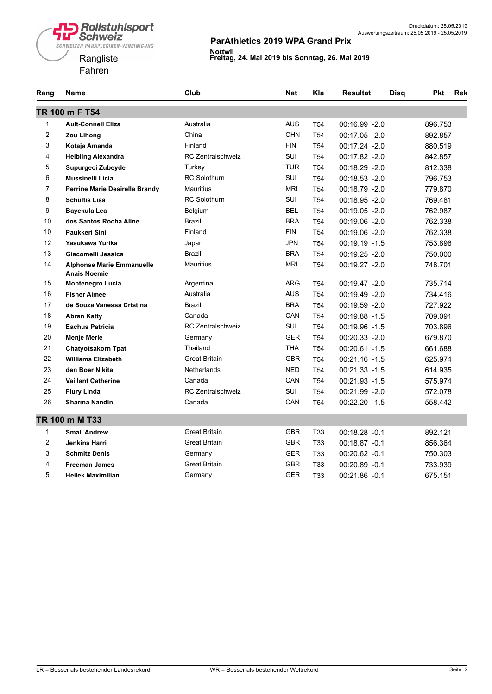



| Rang           | <b>Name</b>                                             | Club                     | Nat        | Kla             | <b>Resultat</b>  | Disq | <b>Pkt</b> | <b>Rek</b> |
|----------------|---------------------------------------------------------|--------------------------|------------|-----------------|------------------|------|------------|------------|
|                | TR 100 m F T54                                          |                          |            |                 |                  |      |            |            |
| 1              | <b>Ault-Connell Eliza</b>                               | Australia                | <b>AUS</b> | T <sub>54</sub> | 00:16.99 -2.0    |      | 896.753    |            |
| $\overline{c}$ | <b>Zou Lihong</b>                                       | China                    | <b>CHN</b> | T <sub>54</sub> | 00:17.05 -2.0    |      | 892.857    |            |
| 3              | Kotaja Amanda                                           | Finland                  | <b>FIN</b> | T <sub>54</sub> | 00:17.24 -2.0    |      | 880.519    |            |
| 4              | <b>Helbling Alexandra</b>                               | <b>RC Zentralschweiz</b> | SUI        | T <sub>54</sub> | 00:17.82 -2.0    |      | 842.857    |            |
| 5              | Supurgeci Zubeyde                                       | Turkey                   | TUR        | T <sub>54</sub> | 00:18.29 -2.0    |      | 812.338    |            |
| 6              | <b>Mussinelli Licia</b>                                 | <b>RC Solothurn</b>      | SUI        | T <sub>54</sub> | 00:18.53 -2.0    |      | 796.753    |            |
| $\overline{7}$ | Perrine Marie Desirella Brandy                          | <b>Mauritius</b>         | <b>MRI</b> | T <sub>54</sub> | 00:18.79 -2.0    |      | 779.870    |            |
| 8              | <b>Schultis Lisa</b>                                    | <b>RC Solothurn</b>      | SUI        | T <sub>54</sub> | 00:18.95 -2.0    |      | 769.481    |            |
| 9              | Bayekula Lea                                            | Belgium                  | <b>BEL</b> | T <sub>54</sub> | $00:19.05 - 2.0$ |      | 762.987    |            |
| 10             | dos Santos Rocha Aline                                  | <b>Brazil</b>            | <b>BRA</b> | T <sub>54</sub> | 00:19.06 -2.0    |      | 762.338    |            |
| 10             | Paukkeri Sini                                           | Finland                  | <b>FIN</b> | T <sub>54</sub> | 00:19.06 -2.0    |      | 762.338    |            |
| 12             | Yasukawa Yurika                                         | Japan                    | <b>JPN</b> | T <sub>54</sub> | $00:19.19 - 1.5$ |      | 753.896    |            |
| 13             | Giacomelli Jessica                                      | Brazil                   | <b>BRA</b> | T <sub>54</sub> | 00:19.25 -2.0    |      | 750.000    |            |
| 14             | <b>Alphonse Marie Emmanuelle</b><br><b>Anais Noemie</b> | <b>Mauritius</b>         | <b>MRI</b> | T <sub>54</sub> | 00:19.27 -2.0    |      | 748.701    |            |
| 15             | <b>Montenegro Lucia</b>                                 | Argentina                | <b>ARG</b> | T <sub>54</sub> | $00:19.47 - 2.0$ |      | 735.714    |            |
| 16             | <b>Fisher Aimee</b>                                     | Australia                | <b>AUS</b> | T <sub>54</sub> | 00:19.49 -2.0    |      | 734.416    |            |
| 17             | de Souza Vanessa Cristina                               | <b>Brazil</b>            | <b>BRA</b> | T <sub>54</sub> | 00:19.59 -2.0    |      | 727.922    |            |
| 18             | <b>Abran Katty</b>                                      | Canada                   | CAN        | T <sub>54</sub> | 00:19.88 -1.5    |      | 709.091    |            |
| 19             | <b>Eachus Patricia</b>                                  | <b>RC Zentralschweiz</b> | SUI        | T <sub>54</sub> | 00:19.96 -1.5    |      | 703.896    |            |
| 20             | <b>Menje Merle</b>                                      | Germany                  | <b>GER</b> | T <sub>54</sub> | 00:20.33 -2.0    |      | 679.870    |            |
| 21             | <b>Chatyotsakorn Tpat</b>                               | Thailand                 | THA        | T <sub>54</sub> | 00:20.61 -1.5    |      | 661.688    |            |
| 22             | <b>Williams Elizabeth</b>                               | <b>Great Britain</b>     | <b>GBR</b> | T <sub>54</sub> | $00:21.16 - 1.5$ |      | 625.974    |            |
| 23             | den Boer Nikita                                         | <b>Netherlands</b>       | <b>NED</b> | T <sub>54</sub> | $00:21.33 - 1.5$ |      | 614.935    |            |
| 24             | <b>Vaillant Catherine</b>                               | Canada                   | CAN        | T <sub>54</sub> | 00:21.93 -1.5    |      | 575.974    |            |
| 25             | <b>Flury Linda</b>                                      | RC Zentralschweiz        | SUI        | T <sub>54</sub> | 00:21.99 -2.0    |      | 572.078    |            |
| 26             | Sharma Nandini                                          | Canada                   | CAN        | T <sub>54</sub> | $00:22.20 -1.5$  |      | 558.442    |            |
|                | TR 100 m M T33                                          |                          |            |                 |                  |      |            |            |
| $\mathbf{1}$   | <b>Small Andrew</b>                                     | <b>Great Britain</b>     | <b>GBR</b> | T33             | 00:18.28 -0.1    |      | 892.121    |            |
| $\overline{2}$ | <b>Jenkins Harri</b>                                    | <b>Great Britain</b>     | <b>GBR</b> | T33             | 00:18.87 -0.1    |      | 856.364    |            |
| 3              | <b>Schmitz Denis</b>                                    | Germany                  | <b>GER</b> | T33             | 00:20.62 -0.1    |      | 750.303    |            |
| $\overline{4}$ | <b>Freeman James</b>                                    | <b>Great Britain</b>     | <b>GBR</b> | T33             | 00:20.89 -0.1    |      | 733.939    |            |
| 5              | <b>Heilek Maximilian</b>                                | Germany                  | <b>GER</b> | <b>T33</b>      | $00:21.86 - 0.1$ |      | 675.151    |            |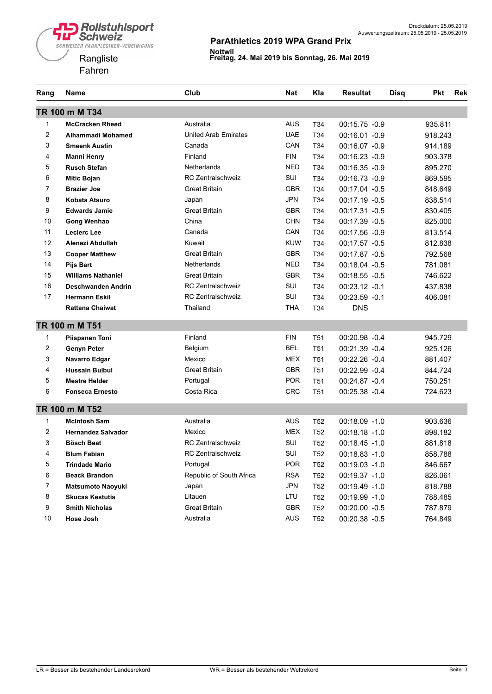



| Rang           | Name                      | Club                        | Nat        | Kla             | <b>Resultat</b>  | <b>Disq</b> | <b>Pkt</b> | <b>Rek</b> |
|----------------|---------------------------|-----------------------------|------------|-----------------|------------------|-------------|------------|------------|
|                | TR 100 m M T34            |                             |            |                 |                  |             |            |            |
| 1              | <b>McCracken Rheed</b>    | Australia                   | <b>AUS</b> | T34             | 00:15.75 -0.9    |             | 935.811    |            |
| $\overline{c}$ | Alhammadi Mohamed         | <b>United Arab Emirates</b> | <b>UAE</b> | T34             | 00:16.01 -0.9    |             | 918.243    |            |
| 3              | <b>Smeenk Austin</b>      | Canada                      | CAN        | T34             | 00:16.07 -0.9    |             | 914.189    |            |
| 4              | <b>Manni Henry</b>        | Finland                     | <b>FIN</b> | T34             | 00:16.23 -0.9    |             | 903.378    |            |
| 5              | <b>Rusch Stefan</b>       | Netherlands                 | <b>NED</b> | T <sub>34</sub> | 00:16.35 -0.9    |             | 895.270    |            |
| 6              | <b>Mitic Bojan</b>        | <b>RC Zentralschweiz</b>    | SUI        | T34             | 00:16.73 -0.9    |             | 869.595    |            |
| 7              | <b>Brazier Joe</b>        | <b>Great Britain</b>        | <b>GBR</b> | T34             | 00:17.04 -0.5    |             | 848.649    |            |
| 8              | Kobata Atsuro             | Japan                       | <b>JPN</b> | T34             | 00:17.19 -0.5    |             | 838.514    |            |
| 9              | <b>Edwards Jamie</b>      | <b>Great Britain</b>        | <b>GBR</b> | T34             | 00:17.31 -0.5    |             | 830.405    |            |
| 10             | Gong Wenhao               | China                       | <b>CHN</b> | T34             | 00:17.39 -0.5    |             | 825.000    |            |
| 11             | Leclerc Lee               | Canada                      | CAN        | T34             | 00:17.56 -0.9    |             | 813.514    |            |
| 12             | Alenezi Abdullah          | Kuwait                      | <b>KUW</b> | T34             | 00:17.57 -0.5    |             | 812.838    |            |
| 13             | <b>Cooper Matthew</b>     | <b>Great Britain</b>        | <b>GBR</b> | T34             | 00:17.87 -0.5    |             | 792.568    |            |
| 14             | <b>Pijs Bart</b>          | <b>Netherlands</b>          | <b>NED</b> | T34             | 00:18.04 -0.5    |             | 781.081    |            |
| 15             | <b>Williams Nathaniel</b> | <b>Great Britain</b>        | <b>GBR</b> | T34             | $00:18.55 - 0.5$ |             | 746.622    |            |
| 16             | Deschwanden Andrin        | <b>RC Zentralschweiz</b>    | SUI        | T34             | 00:23.12 -0.1    |             | 437.838    |            |
| 17             | <b>Hermann Eskil</b>      | <b>RC Zentralschweiz</b>    | SUI        | T34             | 00:23.59 -0.1    |             | 406.081    |            |
|                | <b>Rattana Chaiwat</b>    | Thailand                    | THA        | T34             | <b>DNS</b>       |             |            |            |
|                | TR 100 m M T51            |                             |            |                 |                  |             |            |            |
| 1              | Piispanen Toni            | Finland                     | <b>FIN</b> | T <sub>51</sub> | 00:20.98 -0.4    |             | 945.729    |            |
| $\overline{2}$ | <b>Genyn Peter</b>        | Belgium                     | <b>BEL</b> | T <sub>51</sub> | 00:21.39 -0.4    |             | 925.126    |            |
| 3              | Navarro Edgar             | Mexico                      | <b>MEX</b> | T <sub>51</sub> | 00:22.26 -0.4    |             | 881.407    |            |
| 4              | <b>Hussain Bulbul</b>     | <b>Great Britain</b>        | <b>GBR</b> | T <sub>51</sub> | 00:22.99 -0.4    |             | 844.724    |            |
| 5              | <b>Mestre Helder</b>      | Portugal                    | <b>POR</b> | T <sub>51</sub> | 00:24.87 -0.4    |             | 750.251    |            |
| 6              | <b>Fonseca Ernesto</b>    | Costa Rica                  | <b>CRC</b> | T <sub>51</sub> | 00:25.38 -0.4    |             | 724.623    |            |
|                | TR 100 m M T52            |                             |            |                 |                  |             |            |            |
| 1              | <b>McIntosh Sam</b>       | Australia                   | <b>AUS</b> | T52             | $00:18.09 - 1.0$ |             | 903.636    |            |
| 2              | <b>Hernandez Salvador</b> | Mexico                      | <b>MEX</b> | T <sub>52</sub> | 00:18.18 -1.0    |             | 898.182    |            |
| 3              | <b>Bösch Beat</b>         | <b>RC Zentralschweiz</b>    | SUI        | T <sub>52</sub> | $00:18.45 - 1.0$ |             | 881.818    |            |
| 4              | <b>Blum Fabian</b>        | <b>RC Zentralschweiz</b>    | SUI        | T <sub>52</sub> | 00:18.83 -1.0    |             | 858.788    |            |
| 5              | <b>Trindade Mario</b>     | Portugal                    | <b>POR</b> | T <sub>52</sub> | $00:19.03 -1.0$  |             | 846.667    |            |
| 6              | <b>Beack Brandon</b>      | Republic of South Africa    | <b>RSA</b> | T <sub>52</sub> | 00:19.37 -1.0    |             | 826.061    |            |
| 7              | <b>Matsumoto Naoyuki</b>  | Japan                       | <b>JPN</b> | T <sub>52</sub> | 00:19.49 -1.0    |             | 818.788    |            |
| 8              | <b>Skucas Kestutis</b>    | Litauen                     | LTU        | T <sub>52</sub> | 00:19.99 -1.0    |             | 788.485    |            |
| 9              | <b>Smith Nicholas</b>     | <b>Great Britain</b>        | GBR        | T <sub>52</sub> | 00:20.00 -0.5    |             | 787.879    |            |
| 10             | Hose Josh                 | Australia                   | AUS        | T <sub>52</sub> | 00:20.38 -0.5    |             | 764.849    |            |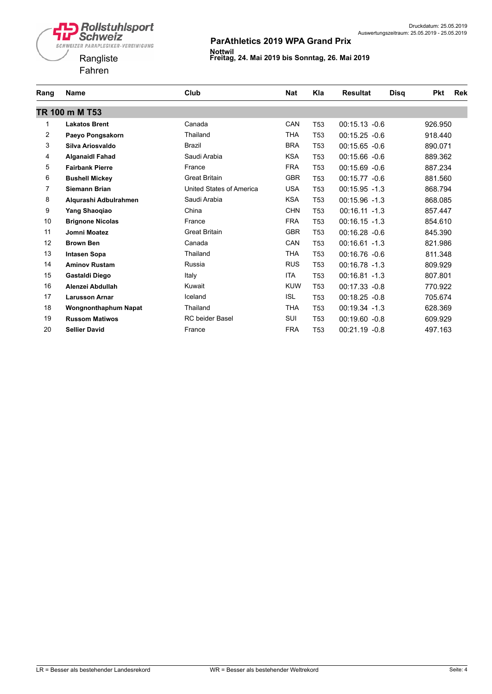



| Rang           | <b>Name</b>                 | Club                     | <b>Nat</b> | Kla             | <b>Resultat</b>  | <b>Disq</b> | <b>Pkt</b> | Rek |
|----------------|-----------------------------|--------------------------|------------|-----------------|------------------|-------------|------------|-----|
|                | TR 100 m M T53              |                          |            |                 |                  |             |            |     |
| 1              | <b>Lakatos Brent</b>        | Canada                   | CAN        | T <sub>53</sub> | $00:15.13 -0.6$  |             | 926.950    |     |
| $\overline{2}$ | Paeyo Pongsakorn            | Thailand                 | <b>THA</b> | T <sub>53</sub> | $00:15.25 -0.6$  |             | 918.440    |     |
| 3              | Silva Ariosvaldo            | <b>Brazil</b>            | <b>BRA</b> | T <sub>53</sub> | $00:15.65 - 0.6$ |             | 890.071    |     |
| 4              | <b>Alganaidl Fahad</b>      | Saudi Arabia             | <b>KSA</b> | T <sub>53</sub> | $00:15.66 - 0.6$ |             | 889.362    |     |
| 5              | <b>Fairbank Pierre</b>      | France                   | <b>FRA</b> | T <sub>53</sub> | $00:15.69 - 0.6$ |             | 887.234    |     |
| 6              | <b>Bushell Mickey</b>       | <b>Great Britain</b>     | <b>GBR</b> | T <sub>53</sub> | 00:15.77 -0.6    |             | 881.560    |     |
| $\overline{7}$ | <b>Siemann Brian</b>        | United States of America | <b>USA</b> | T <sub>53</sub> | $00:15.95 - 1.3$ |             | 868.794    |     |
| 8              | Algurashi Adbulrahmen       | Saudi Arabia             | <b>KSA</b> | T <sub>53</sub> | $00:15.96 - 1.3$ |             | 868.085    |     |
| 9              | Yang Shaogiao               | China                    | <b>CHN</b> | T <sub>53</sub> | $00:16.11 - 1.3$ |             | 857.447    |     |
| 10             | <b>Brignone Nicolas</b>     | France                   | <b>FRA</b> | T <sub>53</sub> | $00:16.15 - 1.3$ |             | 854.610    |     |
| 11             | Jomni Moatez                | <b>Great Britain</b>     | <b>GBR</b> | T53             | 00:16.28 -0.6    |             | 845.390    |     |
| 12             | <b>Brown Ben</b>            | Canada                   | CAN        | T <sub>53</sub> | $00:16.61 - 1.3$ |             | 821.986    |     |
| 13             | <b>Intasen Sopa</b>         | Thailand                 | THA        | T <sub>53</sub> | 00:16.76 -0.6    |             | 811.348    |     |
| 14             | <b>Aminov Rustam</b>        | Russia                   | <b>RUS</b> | T <sub>53</sub> | $00:16.78 - 1.3$ |             | 809.929    |     |
| 15             | Gastaldi Diego              | Italy                    | ITA        | T <sub>53</sub> | 00:16.81 -1.3    |             | 807.801    |     |
| 16             | Alenzei Abdullah            | Kuwait                   | <b>KUW</b> | T <sub>53</sub> | 00:17.33 -0.8    |             | 770.922    |     |
| 17             | <b>Larusson Arnar</b>       | Iceland                  | ISL        | T <sub>53</sub> | $00:18.25 -0.8$  |             | 705.674    |     |
| 18             | <b>Wongnonthaphum Napat</b> | Thailand                 | <b>THA</b> | T <sub>53</sub> | 00:19.34 -1.3    |             | 628.369    |     |
| 19             | <b>Russom Matiwos</b>       | <b>RC</b> beider Basel   | SUI        | T <sub>53</sub> | $00:19.60 -0.8$  |             | 609.929    |     |
| 20             | <b>Sellier David</b>        | France                   | <b>FRA</b> | T53             | 00:21.19 -0.8    |             | 497.163    |     |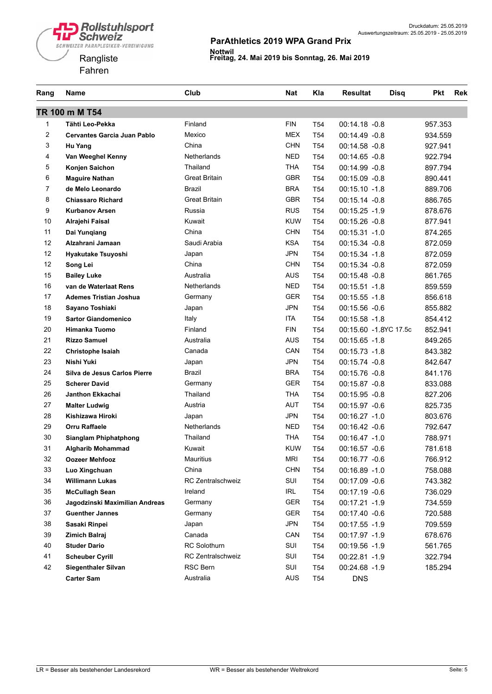



| Rang           | Name                               | Club                 | <b>Nat</b> | Kla             | <b>Resultat</b><br>Disq | <b>Pkt</b><br>Rek |
|----------------|------------------------------------|----------------------|------------|-----------------|-------------------------|-------------------|
|                | TR 100 m M T54                     |                      |            |                 |                         |                   |
| 1              | Tähti Leo-Pekka                    | Finland              | <b>FIN</b> | T <sub>54</sub> | 00:14.18 -0.8           | 957.353           |
| $\overline{2}$ | <b>Cervantes Garcia Juan Pablo</b> | Mexico               | <b>MEX</b> | T <sub>54</sub> | $00:14.49 - 0.8$        | 934.559           |
| 3              | Hu Yang                            | China                | <b>CHN</b> | T54             | $00:14.58 - 0.8$        | 927.941           |
| 4              | Van Weeghel Kenny                  | <b>Netherlands</b>   | <b>NED</b> | T54             | 00:14.65 -0.8           | 922.794           |
| 5              | Konjen Saichon                     | Thailand             | <b>THA</b> | T <sub>54</sub> | 00:14.99 -0.8           | 897.794           |
| 6              | <b>Maguire Nathan</b>              | <b>Great Britain</b> | <b>GBR</b> | T <sub>54</sub> | $00:15.09 -0.8$         | 890.441           |
| $\overline{7}$ | de Melo Leonardo                   | Brazil               | <b>BRA</b> | T <sub>54</sub> | $00:15.10 - 1.8$        | 889.706           |
| 8              | <b>Chiassaro Richard</b>           | <b>Great Britain</b> | <b>GBR</b> | T <sub>54</sub> | 00:15.14 -0.8           | 886.765           |
| 9              | <b>Kurbanov Arsen</b>              | Russia               | <b>RUS</b> | T <sub>54</sub> | $00:15.25 - 1.9$        | 878.676           |
| 10             | Alrajehi Faisal                    | Kuwait               | <b>KUW</b> | T <sub>54</sub> | 00:15.26 -0.8           | 877.941           |
| 11             | Dai Yunqiang                       | China                | <b>CHN</b> | T <sub>54</sub> | $00:15.31 - 1.0$        | 874.265           |
| 12             | Alzahrani Jamaan                   | Saudi Arabia         | <b>KSA</b> | T <sub>54</sub> | 00:15.34 -0.8           | 872.059           |
| 12             | Hyakutake Tsuyoshi                 | Japan                | <b>JPN</b> | T <sub>54</sub> | 00:15.34 -1.8           | 872.059           |
| 12             | Song Lei                           | China                | <b>CHN</b> | T54             | $00:15.34 -0.8$         | 872.059           |
| 15             | <b>Bailey Luke</b>                 | Australia            | <b>AUS</b> | T54             | 00:15.48 -0.8           | 861.765           |
| 16             | van de Waterlaat Rens              | Netherlands          | <b>NED</b> | T <sub>54</sub> | $00:15.51 - 1.8$        | 859.559           |
| 17             | <b>Ademes Tristian Joshua</b>      | Germany              | <b>GER</b> | T <sub>54</sub> | $00:15.55 - 1.8$        | 856.618           |
| 18             | Sayano Toshiaki                    | Japan                | <b>JPN</b> | T <sub>54</sub> | 00:15.56 -0.6           | 855.882           |
| 19             | <b>Sartor Giandomenico</b>         | Italy                | <b>ITA</b> | T <sub>54</sub> | $00:15.58 - 1.8$        | 854.412           |
| 20             | <b>Himanka Tuomo</b>               | Finland              | <b>FIN</b> | T <sub>54</sub> | 00:15.60 -1.8YC 17.5c   | 852.941           |
| 21             | <b>Rizzo Samuel</b>                | Australia            | <b>AUS</b> | T <sub>54</sub> | $00:15.65 - 1.8$        | 849.265           |
| 22             | Christophe Isaiah                  | Canada               | CAN        | T <sub>54</sub> | $00:15.73 - 1.8$        | 843.382           |
| 23             | Nishi Yuki                         | Japan                | <b>JPN</b> | T <sub>54</sub> | 00:15.74 -0.8           | 842.647           |
| 24             | Silva de Jesus Carlos Pierre       | Brazil               | <b>BRA</b> | T <sub>54</sub> | 00:15.76 -0.8           | 841.176           |
| 25             | <b>Scherer David</b>               | Germany              | <b>GER</b> | T <sub>54</sub> | 00:15.87 -0.8           | 833.088           |
| 26             | Janthon Ekkachai                   | Thailand             | <b>THA</b> | T54             | $00:15.95 -0.8$         | 827.206           |
| 27             | <b>Malter Ludwig</b>               | Austria              | <b>AUT</b> | T <sub>54</sub> | 00:15.97 -0.6           | 825.735           |
| 28             | Kishizawa Hiroki                   | Japan                | <b>JPN</b> | T <sub>54</sub> | 00:16.27 -1.0           | 803.676           |
| 29             | <b>Orru Raffaele</b>               | Netherlands          | <b>NED</b> | T54             | 00:16.42 -0.6           | 792.647           |
| 30             | Sianglam Phiphatphong              | Thailand             | <b>THA</b> | T54             | 00:16.47 -1.0           | 788.971           |
| 31             | <b>Algharib Mohammad</b>           | Kuwait               | <b>KUW</b> | T <sub>54</sub> | 00:16.57 -0.6           | 781.618           |
| 32             | <b>Oozeer Mehfooz</b>              | Mauritius            | <b>MRI</b> | T <sub>54</sub> | 00:16.77 -0.6           | 766.912           |
| 33             | Luo Xingchuan                      | China                | <b>CHN</b> | T <sub>54</sub> | 00:16.89 -1.0           | 758.088           |
| 34             | <b>Willimann Lukas</b>             | RC Zentralschweiz    | SUI        | T <sub>54</sub> | 00:17.09 -0.6           | 743.382           |
| 35             | <b>McCullagh Sean</b>              | Ireland              | IRL        | T <sub>54</sub> | 00:17.19 -0.6           | 736.029           |
| 36             | Jagodzinski Maximilian Andreas     | Germany              | GER        | T <sub>54</sub> | 00:17.21 -1.9           | 734.559           |
| 37             | <b>Guenther Jannes</b>             | Germany              | GER        | T <sub>54</sub> | 00:17.40 -0.6           | 720.588           |
| 38             | Sasaki Rinpei                      | Japan                | <b>JPN</b> | T <sub>54</sub> | $00:17.55 - 1.9$        | 709.559           |
| 39             | Zimich Balraj                      | Canada               | CAN        | T <sub>54</sub> | 00:17.97 -1.9           | 678.676           |
| 40             | <b>Studer Dario</b>                | RC Solothurn         | SUI        | T54             | 00:19.56 -1.9           | 561.765           |
| 41             | <b>Scheuber Cyrill</b>             | RC Zentralschweiz    | SUI        | T <sub>54</sub> | 00:22.81 -1.9           | 322.794           |
| 42             | <b>Siegenthaler Silvan</b>         | RSC Bern             | SUI        | T <sub>54</sub> | 00:24.68 -1.9           | 185.294           |
|                | <b>Carter Sam</b>                  | Australia            | <b>AUS</b> | T <sub>54</sub> | <b>DNS</b>              |                   |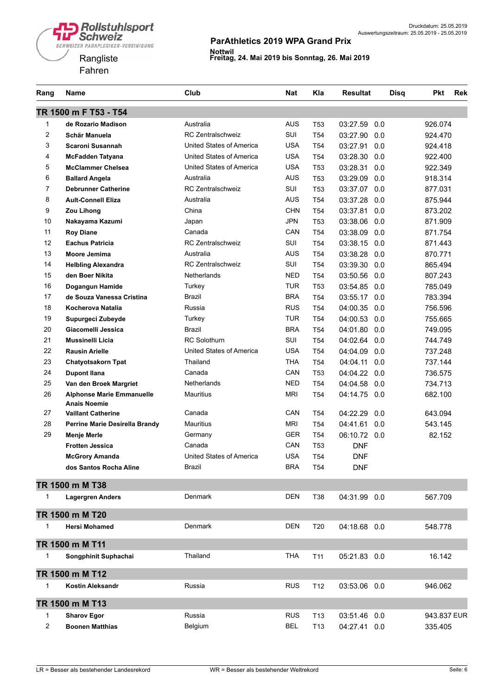

| Rang | Name                                                    | Club                     | <b>Nat</b> | Kla             | <b>Resultat</b> | <b>Disq</b> | <b>Pkt</b>  | <b>Rek</b> |
|------|---------------------------------------------------------|--------------------------|------------|-----------------|-----------------|-------------|-------------|------------|
|      | TR 1500 m F T53 - T54                                   |                          |            |                 |                 |             |             |            |
| 1    | de Rozario Madison                                      | Australia                | <b>AUS</b> | T <sub>53</sub> | 03:27.59        | 0.0         | 926.074     |            |
| 2    | Schär Manuela                                           | <b>RC Zentralschweiz</b> | SUI        | T <sub>54</sub> | 03:27.90        | 0.0         | 924.470     |            |
| 3    | Scaroni Susannah                                        | United States of America | <b>USA</b> | T <sub>54</sub> | 03:27.91        | 0.0         | 924.418     |            |
| 4    | McFadden Tatyana                                        | United States of America | <b>USA</b> | T <sub>54</sub> | 03:28.30        | 0.0         | 922.400     |            |
| 5    | <b>McClammer Chelsea</b>                                | United States of America | <b>USA</b> | T <sub>53</sub> | 03:28.31        | 0.0         | 922.349     |            |
| 6    | <b>Ballard Angela</b>                                   | Australia                | <b>AUS</b> | T53             | 03:29.09        | 0.0         | 918.314     |            |
| 7    | <b>Debrunner Catherine</b>                              | <b>RC Zentralschweiz</b> | SUI        | T <sub>53</sub> | 03:37.07        | 0.0         | 877.031     |            |
| 8    | <b>Ault-Connell Eliza</b>                               | Australia                | <b>AUS</b> | T <sub>54</sub> | 03:37.28        | 0.0         | 875.944     |            |
| 9    | Zou Lihong                                              | China                    | <b>CHN</b> | T <sub>54</sub> | 03:37.81        | 0.0         | 873.202     |            |
| 10   | Nakayama Kazumi                                         | Japan                    | <b>JPN</b> | T53             | 03:38.06        | 0.0         | 871.909     |            |
| 11   | <b>Roy Diane</b>                                        | Canada                   | CAN        | T <sub>54</sub> | 03:38.09        | 0.0         | 871.754     |            |
| 12   | <b>Eachus Patricia</b>                                  | <b>RC Zentralschweiz</b> | SUI        | T <sub>54</sub> | 03:38.15        | 0.0         | 871.443     |            |
| 13   | Moore Jemima                                            | Australia                | <b>AUS</b> | T54             | 03:38.28        | 0.0         | 870.771     |            |
| 14   | <b>Helbling Alexandra</b>                               | <b>RC Zentralschweiz</b> | SUI        | T <sub>54</sub> | 03:39.30        | 0.0         | 865.494     |            |
| 15   | den Boer Nikita                                         | <b>Netherlands</b>       | <b>NED</b> | T <sub>54</sub> | 03:50.56        | 0.0         | 807.243     |            |
| 16   | Dogangun Hamide                                         | Turkey                   | <b>TUR</b> | T <sub>53</sub> | 03:54.85        | 0.0         | 785.049     |            |
| 17   | de Souza Vanessa Cristina                               | Brazil                   | <b>BRA</b> | T54             | 03:55.17        | 0.0         | 783.394     |            |
| 18   | Kocherova Natalia                                       | Russia                   | <b>RUS</b> | T <sub>54</sub> | 04:00.35        | 0.0         | 756.596     |            |
| 19   | Supurgeci Zubeyde                                       | Turkey                   | <b>TUR</b> | T <sub>54</sub> | 04:00.53        | 0.0         | 755.665     |            |
| 20   | Giacomelli Jessica                                      | Brazil                   | <b>BRA</b> | T <sub>54</sub> | 04:01.80        | 0.0         | 749.095     |            |
| 21   | <b>Mussinelli Licia</b>                                 | <b>RC Solothurn</b>      | SUI        | T <sub>54</sub> | 04:02.64        | 0.0         | 744.749     |            |
| 22   | <b>Rausin Arielle</b>                                   | United States of America | <b>USA</b> | T <sub>54</sub> | 04:04.09        | 0.0         | 737.248     |            |
| 23   | <b>Chatyotsakorn Tpat</b>                               | Thailand                 | THA        | T <sub>54</sub> | 04:04.11        | 0.0         | 737.144     |            |
| 24   | <b>Dupont Ilana</b>                                     | Canada                   | CAN        | T <sub>53</sub> | 04:04.22        | 0.0         | 736.575     |            |
| 25   | Van den Broek Margriet                                  | Netherlands              | <b>NED</b> | T <sub>54</sub> | 04:04.58        | 0.0         | 734.713     |            |
| 26   | <b>Alphonse Marie Emmanuelle</b><br><b>Anais Noemie</b> | <b>Mauritius</b>         | <b>MRI</b> | T <sub>54</sub> | 04:14.75        | 0.0         | 682.100     |            |
| 27   | <b>Vaillant Catherine</b>                               | Canada                   | CAN        | T <sub>54</sub> | 04:22.29        | 0.0         | 643.094     |            |
| 28   | Perrine Marie Desirella Brandy                          | Mauritius                | <b>MRI</b> | T <sub>54</sub> | 04:41.61        | 0.0         | 543.145     |            |
| 29   | <b>Menje Merle</b>                                      | Germany                  | <b>GER</b> | T54             | 06:10.72 0.0    |             | 82.152      |            |
|      | <b>Frotten Jessica</b>                                  | Canada                   | CAN        | T53             | <b>DNF</b>      |             |             |            |
|      | <b>McGrory Amanda</b>                                   | United States of America | <b>USA</b> | <b>T54</b>      | <b>DNF</b>      |             |             |            |
|      | dos Santos Rocha Aline                                  | Brazil                   | <b>BRA</b> | T <sub>54</sub> | <b>DNF</b>      |             |             |            |
|      | TR 1500 m M T38                                         |                          |            |                 |                 |             |             |            |
| 1    | <b>Lagergren Anders</b>                                 | Denmark                  | <b>DEN</b> | T38             | 04:31.99 0.0    |             | 567.709     |            |
|      | TR 1500 m M T20                                         |                          |            |                 |                 |             |             |            |
| 1    | <b>Hersi Mohamed</b>                                    | Denmark                  | <b>DEN</b> | T <sub>20</sub> | 04:18.68        | 0.0         | 548.778     |            |
|      | TR 1500 m M T11                                         |                          |            |                 |                 |             |             |            |
| 1    | Songphinit Suphachai                                    | Thailand                 | THA        | T11             | 05:21.83 0.0    |             | 16.142      |            |
|      | TR 1500 m M T12                                         |                          |            |                 |                 |             |             |            |
| 1    | Kostin Aleksandr                                        | Russia                   | <b>RUS</b> | T <sub>12</sub> | 03:53.06        | 0.0         | 946.062     |            |
|      | TR 1500 m M T13                                         |                          |            |                 |                 |             |             |            |
| 1    | <b>Sharov Egor</b>                                      | Russia                   | <b>RUS</b> | T <sub>13</sub> | 03:51.46        | 0.0         | 943.837 EUR |            |
| 2    | <b>Boonen Matthias</b>                                  | Belgium                  | <b>BEL</b> | T <sub>13</sub> | 04:27.41 0.0    |             | 335.405     |            |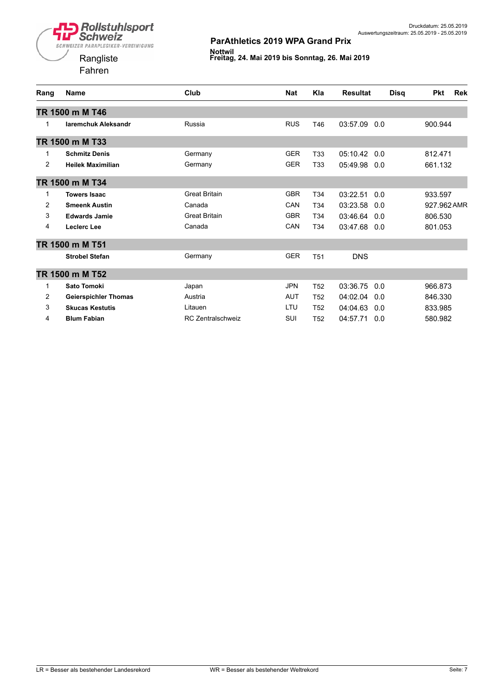

Fahren



| Rang           | <b>Name</b>                 | Club                     | <b>Nat</b> | Kla             | <b>Resultat</b> | <b>Disq</b> | <b>Pkt</b>  | <b>Rek</b> |
|----------------|-----------------------------|--------------------------|------------|-----------------|-----------------|-------------|-------------|------------|
|                | TR 1500 m M T46             |                          |            |                 |                 |             |             |            |
| 1              | <b>laremchuk Aleksandr</b>  | Russia                   | <b>RUS</b> | T46             | 03:57.09<br>0.0 |             | 900.944     |            |
|                | TR 1500 m M T33             |                          |            |                 |                 |             |             |            |
| 1              | <b>Schmitz Denis</b>        | Germany                  | <b>GER</b> | T <sub>33</sub> | 05:10.42<br>0.0 |             | 812.471     |            |
| $\overline{2}$ | <b>Heilek Maximilian</b>    | Germany                  | <b>GER</b> | T <sub>33</sub> | 05:49.98<br>0.0 |             | 661.132     |            |
|                | TR 1500 m M T34             |                          |            |                 |                 |             |             |            |
| 1              | <b>Towers Isaac</b>         | <b>Great Britain</b>     | <b>GBR</b> | T <sub>34</sub> | 03:22.51<br>0.0 |             | 933.597     |            |
| $\overline{2}$ | <b>Smeenk Austin</b>        | Canada                   | CAN        | T <sub>34</sub> | 03:23.58<br>0.0 |             | 927.962 AMR |            |
| 3              | <b>Edwards Jamie</b>        | <b>Great Britain</b>     | <b>GBR</b> | T <sub>34</sub> | 03:46.64<br>0.0 |             | 806.530     |            |
| 4              | Leclerc Lee                 | Canada                   | CAN        | T <sub>34</sub> | 03:47.68<br>0.0 |             | 801.053     |            |
|                | TR 1500 m M T51             |                          |            |                 |                 |             |             |            |
|                | <b>Strobel Stefan</b>       | Germany                  | <b>GER</b> | <b>T51</b>      | <b>DNS</b>      |             |             |            |
|                | TR 1500 m M T52             |                          |            |                 |                 |             |             |            |
| 1              | Sato Tomoki                 | Japan                    | <b>JPN</b> | T <sub>52</sub> | 03:36.75<br>0.0 |             | 966.873     |            |
| $\overline{2}$ | <b>Geierspichler Thomas</b> | Austria                  | <b>AUT</b> | T <sub>52</sub> | 04:02.04<br>0.0 |             | 846.330     |            |
| 3              | <b>Skucas Kestutis</b>      | Litauen                  | LTU        | T <sub>52</sub> | 04:04.63<br>0.0 |             | 833.985     |            |
| 4              | <b>Blum Fabian</b>          | <b>RC Zentralschweiz</b> | SUI        | T <sub>52</sub> | 04:57.71<br>0.0 |             | 580.982     |            |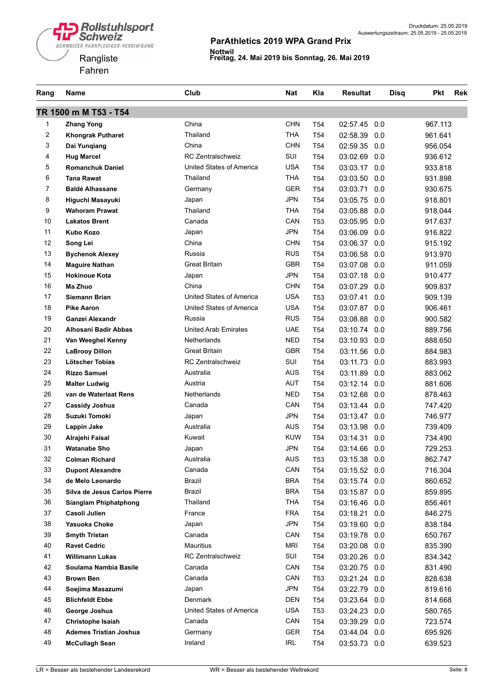

| Rang           | <b>Name</b>                   | Club                        | <b>Nat</b> | Kla             | <b>Resultat</b> | <b>Disq</b> | <b>Pkt</b> | <b>Rek</b> |
|----------------|-------------------------------|-----------------------------|------------|-----------------|-----------------|-------------|------------|------------|
|                | TR 1500 m M T53 - T54         |                             |            |                 |                 |             |            |            |
| 1              | <b>Zhang Yong</b>             | China                       | <b>CHN</b> | T <sub>54</sub> | 02:57.45        | 0.0         | 967.113    |            |
| 2              | <b>Khongrak Putharet</b>      | Thailand                    | <b>THA</b> | T <sub>54</sub> | 02:58.39        | 0.0         | 961.641    |            |
| 3              | Dai Yunqiang                  | China                       | <b>CHN</b> | T <sub>54</sub> | 02:59.35        | 0.0         | 956.054    |            |
| 4              | <b>Hug Marcel</b>             | <b>RC Zentralschweiz</b>    | SUI        | T <sub>54</sub> | 03:02.69        | 0.0         | 936.612    |            |
| 5              | <b>Romanchuk Daniel</b>       | United States of America    | <b>USA</b> | T <sub>54</sub> | 03:03.17        | 0.0         | 933.818    |            |
| 6              | <b>Tana Rawat</b>             | Thailand                    | THA        | T <sub>54</sub> | 03:03.50        | 0.0         | 931.898    |            |
| $\overline{7}$ | <b>Baldé Alhassane</b>        | Germany                     | <b>GER</b> | T <sub>54</sub> | 03:03.71        | 0.0         | 930.675    |            |
| 8              | Higuchi Masayuki              | Japan                       | <b>JPN</b> | T <sub>54</sub> | 03:05.75        | 0.0         | 918.801    |            |
| 9              | <b>Wahoram Prawat</b>         | Thailand                    | <b>THA</b> | T <sub>54</sub> | 03:05.88        | 0.0         | 918.044    |            |
| 10             | <b>Lakatos Brent</b>          | Canada                      | CAN        | <b>T53</b>      | 03:05.95        | 0.0         | 917.637    |            |
| 11             | <b>Kubo Kozo</b>              | Japan                       | <b>JPN</b> | T <sub>54</sub> | 03:06.09        | 0.0         | 916.822    |            |
| 12             | Song Lei                      | China                       | <b>CHN</b> | T <sub>54</sub> | 03:06.37        | 0.0         | 915.192    |            |
| 13             | <b>Bychenok Alexey</b>        | Russia                      | <b>RUS</b> | T <sub>54</sub> | 03:06.58        | 0.0         | 913.970    |            |
| 14             | <b>Maguire Nathan</b>         | <b>Great Britain</b>        | <b>GBR</b> | T <sub>54</sub> | 03:07.08        | 0.0         | 911.059    |            |
| 15             | <b>Hokinoue Kota</b>          | Japan                       | <b>JPN</b> | T <sub>54</sub> | 03:07.18        | 0.0         | 910.477    |            |
| 16             | Ma Zhuo                       | China                       | <b>CHN</b> | T <sub>54</sub> | 03:07.29        | 0.0         | 909.837    |            |
| 17             | Siemann Brian                 | United States of America    | <b>USA</b> | T <sub>53</sub> | 03:07.41        | 0.0         | 909.139    |            |
| 18             | <b>Pike Aaron</b>             | United States of America    | <b>USA</b> | T <sub>54</sub> | 03:07.87        | 0.0         | 906.461    |            |
| 19             | Ganzei Alexandr               | Russia                      | <b>RUS</b> | T <sub>54</sub> | 03:08.88        | 0.0         | 900.582    |            |
| 20             | Alhosani Badir Abbas          | <b>United Arab Emirates</b> | <b>UAE</b> | T <sub>54</sub> | 03:10.74        | 0.0         | 889.756    |            |
| 21             | Van Weeghel Kenny             | <b>Netherlands</b>          | <b>NED</b> | T <sub>54</sub> | 03:10.93        | 0.0         | 888.650    |            |
| 22             | <b>LaBrooy Dillon</b>         | <b>Great Britain</b>        | GBR        | T <sub>54</sub> | 03:11.56        | 0.0         | 884.983    |            |
| 23             | Lötscher Tobias               | RC Zentralschweiz           | SUI        | T <sub>54</sub> | 03:11.73        | 0.0         | 883.993    |            |
| 24             | <b>Rizzo Samuel</b>           | Australia                   | <b>AUS</b> | T <sub>54</sub> | 03:11.89        | 0.0         | 883.062    |            |
| 25             | <b>Malter Ludwig</b>          | Austria                     | <b>AUT</b> | T <sub>54</sub> | 03:12.14        | 0.0         | 881.606    |            |
| 26             | van de Waterlaat Rens         | Netherlands                 | <b>NED</b> | T <sub>54</sub> | 03:12.68        | 0.0         | 878.463    |            |
| 27             | <b>Cassidy Joshua</b>         | Canada                      | CAN        | T <sub>54</sub> | 03:13.44        | 0.0         | 747.420    |            |
| 28             | <b>Suzuki Tomoki</b>          | Japan                       | <b>JPN</b> | T <sub>54</sub> | 03:13.47        | 0.0         | 746.977    |            |
| 29             | Lappin Jake                   | Australia                   | <b>AUS</b> | T <sub>54</sub> | 03:13.98        | 0.0         | 739.409    |            |
| 30             | Alrajehi Faisal               | Kuwait                      | <b>KUW</b> | T <sub>54</sub> | 03:14.31        | 0.0         | 734.490    |            |
| 31             | <b>Watanabe Sho</b>           | Japan                       | <b>JPN</b> | T <sub>54</sub> | 03:14.66 0.0    |             | 729.253    |            |
| 32             | <b>Colman Richard</b>         | Australia                   | <b>AUS</b> | <b>T53</b>      | 03:15.38        | 0.0         | 862.747    |            |
| 33             | <b>Dupont Alexandre</b>       | Canada                      | CAN        | T54             | 03:15.52 0.0    |             | 716.304    |            |
| 34             | de Melo Leonardo              | Brazil                      | <b>BRA</b> | T54             | 03:15.74 0.0    |             | 860.652    |            |
| 35             | Silva de Jesus Carlos Pierre  | Brazil                      | <b>BRA</b> | T54             | 03:15.87 0.0    |             | 859.895    |            |
| 36             | <b>Sianglam Phiphatphong</b>  | Thailand                    | <b>THA</b> | T54             | 03:16.46 0.0    |             | 856.461    |            |
| 37             | Casoli Julien                 | France                      | <b>FRA</b> | T54             | 03:18.21        | 0.0         | 846.275    |            |
| 38             | Yasuoka Choke                 | Japan                       | <b>JPN</b> | T54             | 03:19.60 0.0    |             | 838.184    |            |
| 39             | <b>Smyth Tristan</b>          | Canada                      | CAN        | T54             | 03:19.78        | 0.0         | 650.767    |            |
| 40             | <b>Ravet Cedric</b>           | Mauritius                   | <b>MRI</b> | T54             | 03:20.08        | 0.0         | 835.390    |            |
| 41             | <b>Willimann Lukas</b>        | <b>RC Zentralschweiz</b>    | SUI        | T54             | 03:20.26 0.0    |             | 834.342    |            |
| 42             | Soulama Nambia Basile         | Canada                      | CAN        | T54             | 03:20.75 0.0    |             | 831.490    |            |
| 43             | <b>Brown Ben</b>              | Canada                      | CAN        | T <sub>53</sub> | 03:21.24 0.0    |             | 828.638    |            |
| 44             | Soejima Masazumi              | Japan                       | <b>JPN</b> | T54             | 03:22.79 0.0    |             | 819.616    |            |
| 45             | <b>Blichfeldt Ebbe</b>        | Denmark                     | <b>DEN</b> | T54             | 03:23.64        | 0.0         | 814.668    |            |
| 46             | George Joshua                 | United States of America    | <b>USA</b> | T53             | 03:24.23 0.0    |             | 580.765    |            |
| 47             | Christophe Isaiah             | Canada                      | CAN        | T54             | 03:39.29 0.0    |             | 723.574    |            |
| 48             | <b>Ademes Tristian Joshua</b> | Germany                     | GER        | T54             | 03:44.04 0.0    |             | 695.926    |            |
| 49             | <b>McCullagh Sean</b>         | Ireland                     | <b>IRL</b> | T54             | 03:53.73 0.0    |             | 639.523    |            |